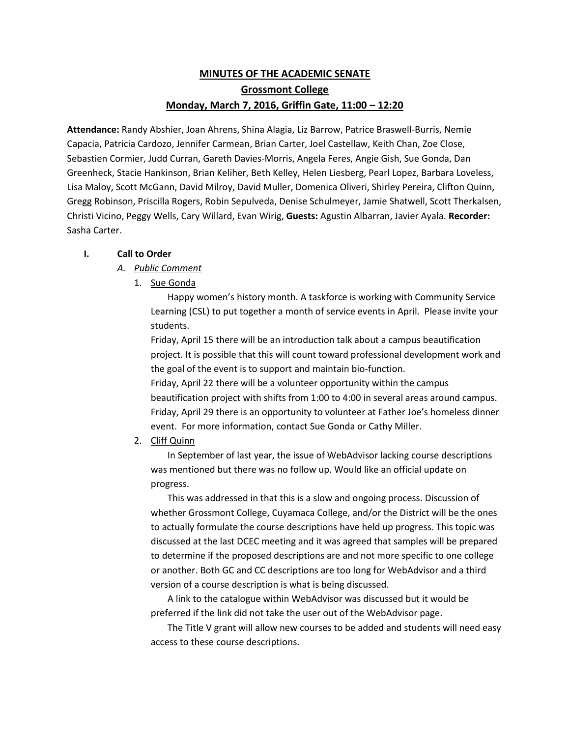# **MINUTES OF THE ACADEMIC SENATE Grossmont College Monday, March 7, 2016, Griffin Gate, 11:00 – 12:20**

**Attendance:** Randy Abshier, Joan Ahrens, Shina Alagia, Liz Barrow, Patrice Braswell-Burris, Nemie Capacia, Patricia Cardozo, Jennifer Carmean, Brian Carter, Joel Castellaw, Keith Chan, Zoe Close, Sebastien Cormier, Judd Curran, Gareth Davies-Morris, Angela Feres, Angie Gish, Sue Gonda, Dan Greenheck, Stacie Hankinson, Brian Keliher, Beth Kelley, Helen Liesberg, Pearl Lopez, Barbara Loveless, Lisa Maloy, Scott McGann, David Milroy, David Muller, Domenica Oliveri, Shirley Pereira, Clifton Quinn, Gregg Robinson, Priscilla Rogers, Robin Sepulveda, Denise Schulmeyer, Jamie Shatwell, Scott Therkalsen, Christi Vicino, Peggy Wells, Cary Willard, Evan Wirig, **Guests:** Agustin Albarran, Javier Ayala. **Recorder:** Sasha Carter.

## **I. Call to Order**

## *A. Public Comment*

1. Sue Gonda

Happy women's history month. A taskforce is working with Community Service Learning (CSL) to put together a month of service events in April. Please invite your students.

Friday, April 15 there will be an introduction talk about a campus beautification project. It is possible that this will count toward professional development work and the goal of the event is to support and maintain bio-function.

Friday, April 22 there will be a volunteer opportunity within the campus beautification project with shifts from 1:00 to 4:00 in several areas around campus. Friday, April 29 there is an opportunity to volunteer at Father Joe's homeless dinner event. For more information, contact Sue Gonda or Cathy Miller.

2. Cliff Quinn

In September of last year, the issue of WebAdvisor lacking course descriptions was mentioned but there was no follow up. Would like an official update on progress.

This was addressed in that this is a slow and ongoing process. Discussion of whether Grossmont College, Cuyamaca College, and/or the District will be the ones to actually formulate the course descriptions have held up progress. This topic was discussed at the last DCEC meeting and it was agreed that samples will be prepared to determine if the proposed descriptions are and not more specific to one college or another. Both GC and CC descriptions are too long for WebAdvisor and a third version of a course description is what is being discussed.

A link to the catalogue within WebAdvisor was discussed but it would be preferred if the link did not take the user out of the WebAdvisor page.

The Title V grant will allow new courses to be added and students will need easy access to these course descriptions.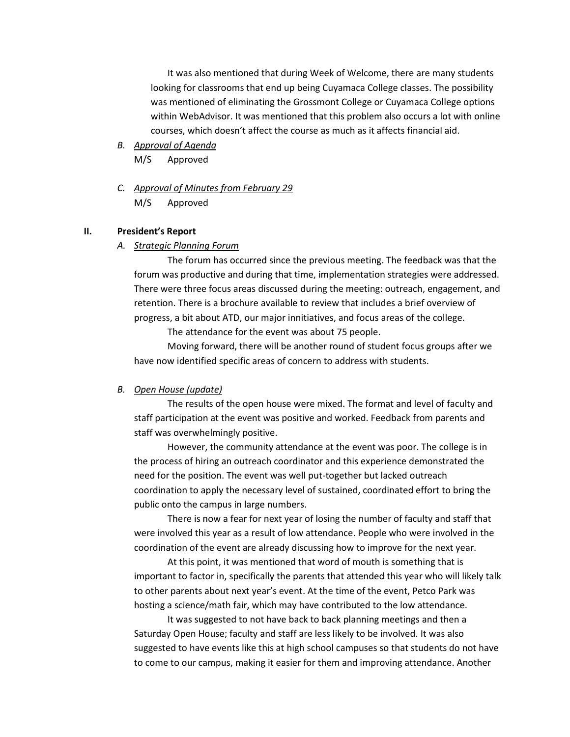It was also mentioned that during Week of Welcome, there are many students looking for classrooms that end up being Cuyamaca College classes. The possibility was mentioned of eliminating the Grossmont College or Cuyamaca College options within WebAdvisor. It was mentioned that this problem also occurs a lot with online courses, which doesn't affect the course as much as it affects financial aid.

- *B. Approval of Agenda* M/S Approved
- *C. Approval of Minutes from February 29* M/S Approved

#### **II. President's Report**

#### *A. Strategic Planning Forum*

The forum has occurred since the previous meeting. The feedback was that the forum was productive and during that time, implementation strategies were addressed. There were three focus areas discussed during the meeting: outreach, engagement, and retention. There is a brochure available to review that includes a brief overview of progress, a bit about ATD, our major innitiatives, and focus areas of the college.

The attendance for the event was about 75 people.

Moving forward, there will be another round of student focus groups after we have now identified specific areas of concern to address with students.

#### *B. Open House (update)*

The results of the open house were mixed. The format and level of faculty and staff participation at the event was positive and worked. Feedback from parents and staff was overwhelmingly positive.

However, the community attendance at the event was poor. The college is in the process of hiring an outreach coordinator and this experience demonstrated the need for the position. The event was well put-together but lacked outreach coordination to apply the necessary level of sustained, coordinated effort to bring the public onto the campus in large numbers.

There is now a fear for next year of losing the number of faculty and staff that were involved this year as a result of low attendance. People who were involved in the coordination of the event are already discussing how to improve for the next year.

At this point, it was mentioned that word of mouth is something that is important to factor in, specifically the parents that attended this year who will likely talk to other parents about next year's event. At the time of the event, Petco Park was hosting a science/math fair, which may have contributed to the low attendance.

It was suggested to not have back to back planning meetings and then a Saturday Open House; faculty and staff are less likely to be involved. It was also suggested to have events like this at high school campuses so that students do not have to come to our campus, making it easier for them and improving attendance. Another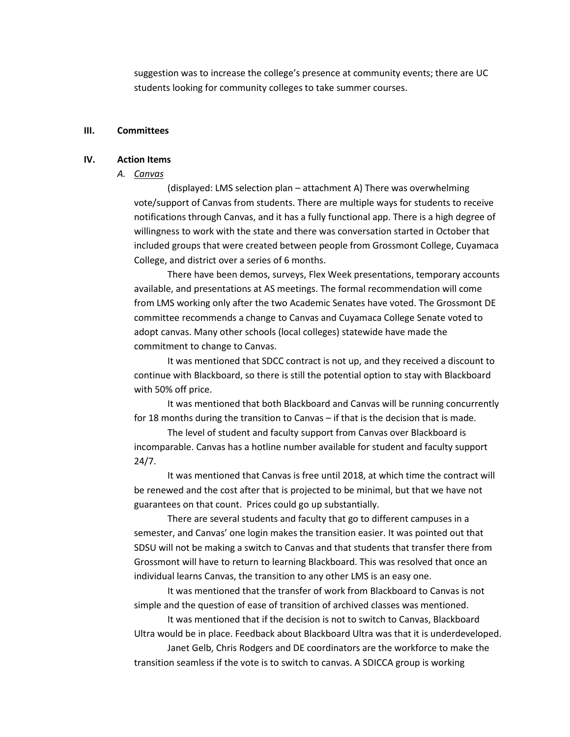suggestion was to increase the college's presence at community events; there are UC students looking for community colleges to take summer courses.

#### **III. Committees**

#### **IV. Action Items**

#### *A. Canvas*

(displayed: LMS selection plan – attachment A) There was overwhelming vote/support of Canvas from students. There are multiple ways for students to receive notifications through Canvas, and it has a fully functional app. There is a high degree of willingness to work with the state and there was conversation started in October that included groups that were created between people from Grossmont College, Cuyamaca College, and district over a series of 6 months.

There have been demos, surveys, Flex Week presentations, temporary accounts available, and presentations at AS meetings. The formal recommendation will come from LMS working only after the two Academic Senates have voted. The Grossmont DE committee recommends a change to Canvas and Cuyamaca College Senate voted to adopt canvas. Many other schools (local colleges) statewide have made the commitment to change to Canvas.

It was mentioned that SDCC contract is not up, and they received a discount to continue with Blackboard, so there is still the potential option to stay with Blackboard with 50% off price.

It was mentioned that both Blackboard and Canvas will be running concurrently for 18 months during the transition to Canvas – if that is the decision that is made.

The level of student and faculty support from Canvas over Blackboard is incomparable. Canvas has a hotline number available for student and faculty support 24/7.

It was mentioned that Canvas is free until 2018, at which time the contract will be renewed and the cost after that is projected to be minimal, but that we have not guarantees on that count. Prices could go up substantially.

There are several students and faculty that go to different campuses in a semester, and Canvas' one login makes the transition easier. It was pointed out that SDSU will not be making a switch to Canvas and that students that transfer there from Grossmont will have to return to learning Blackboard. This was resolved that once an individual learns Canvas, the transition to any other LMS is an easy one.

It was mentioned that the transfer of work from Blackboard to Canvas is not simple and the question of ease of transition of archived classes was mentioned.

It was mentioned that if the decision is not to switch to Canvas, Blackboard Ultra would be in place. Feedback about Blackboard Ultra was that it is underdeveloped.

Janet Gelb, Chris Rodgers and DE coordinators are the workforce to make the transition seamless if the vote is to switch to canvas. A SDICCA group is working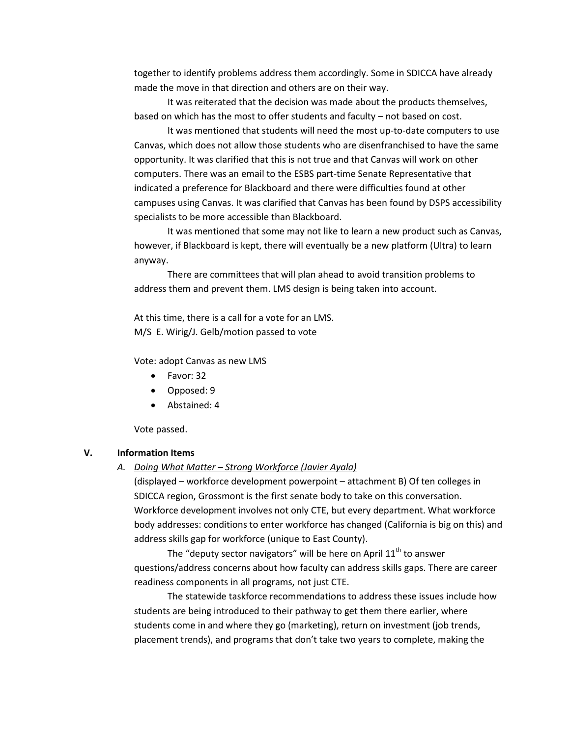together to identify problems address them accordingly. Some in SDICCA have already made the move in that direction and others are on their way.

It was reiterated that the decision was made about the products themselves, based on which has the most to offer students and faculty – not based on cost.

It was mentioned that students will need the most up-to-date computers to use Canvas, which does not allow those students who are disenfranchised to have the same opportunity. It was clarified that this is not true and that Canvas will work on other computers. There was an email to the ESBS part-time Senate Representative that indicated a preference for Blackboard and there were difficulties found at other campuses using Canvas. It was clarified that Canvas has been found by DSPS accessibility specialists to be more accessible than Blackboard.

It was mentioned that some may not like to learn a new product such as Canvas, however, if Blackboard is kept, there will eventually be a new platform (Ultra) to learn anyway.

There are committees that will plan ahead to avoid transition problems to address them and prevent them. LMS design is being taken into account.

At this time, there is a call for a vote for an LMS. M/S E. Wirig/J. Gelb/motion passed to vote

Vote: adopt Canvas as new LMS

- Favor: 32
- Opposed: 9
- Abstained: 4

Vote passed.

#### **V. Information Items**

#### *A. Doing What Matter – Strong Workforce (Javier Ayala)*

(displayed – workforce development powerpoint – attachment B) Of ten colleges in SDICCA region, Grossmont is the first senate body to take on this conversation. Workforce development involves not only CTE, but every department. What workforce body addresses: conditions to enter workforce has changed (California is big on this) and address skills gap for workforce (unique to East County).

The "deputy sector navigators" will be here on April  $11<sup>th</sup>$  to answer questions/address concerns about how faculty can address skills gaps. There are career readiness components in all programs, not just CTE.

The statewide taskforce recommendations to address these issues include how students are being introduced to their pathway to get them there earlier, where students come in and where they go (marketing), return on investment (job trends, placement trends), and programs that don't take two years to complete, making the